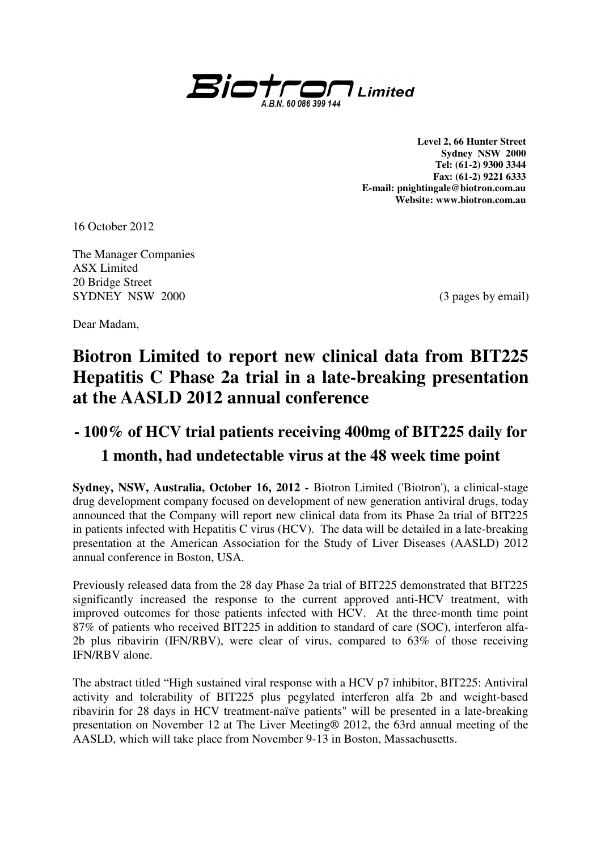

**Level 2, 66 Hunter Street Sydney NSW 2000 Tel: (61-2) 9300 3344 Fax: (61-2) 9221 6333 E-mail: pnightingale@biotron.com.au Website: www.biotron.com.au** 

16 October 2012

The Manager Companies ASX Limited 20 Bridge Street SYDNEY NSW 2000 (3 pages by email)

Dear Madam,

# **Biotron Limited to report new clinical data from BIT225 Hepatitis C Phase 2a trial in a late-breaking presentation at the AASLD 2012 annual conference**

## **- 100% of HCV trial patients receiving 400mg of BIT225 daily for 1 month, had undetectable virus at the 48 week time point**

**Sydney, NSW, Australia, October 16, 2012 -** Biotron Limited ('Biotron'), a clinical-stage drug development company focused on development of new generation antiviral drugs, today announced that the Company will report new clinical data from its Phase 2a trial of BIT225 in patients infected with Hepatitis C virus (HCV). The data will be detailed in a late-breaking presentation at the American Association for the Study of Liver Diseases (AASLD) 2012 annual conference in Boston, USA.

Previously released data from the 28 day Phase 2a trial of BIT225 demonstrated that BIT225 significantly increased the response to the current approved anti-HCV treatment, with improved outcomes for those patients infected with HCV. At the three-month time point 87% of patients who received BIT225 in addition to standard of care (SOC), interferon alfa-2b plus ribavirin (IFN/RBV), were clear of virus, compared to 63% of those receiving IFN/RBV alone.

The abstract titled "High sustained viral response with a HCV p7 inhibitor, BIT225: Antiviral activity and tolerability of BIT225 plus pegylated interferon alfa 2b and weight-based ribavirin for 28 days in HCV treatment-naïve patients" will be presented in a late-breaking presentation on November 12 at The Liver Meeting® 2012, the 63rd annual meeting of the AASLD, which will take place from November 9-13 in Boston, Massachusetts.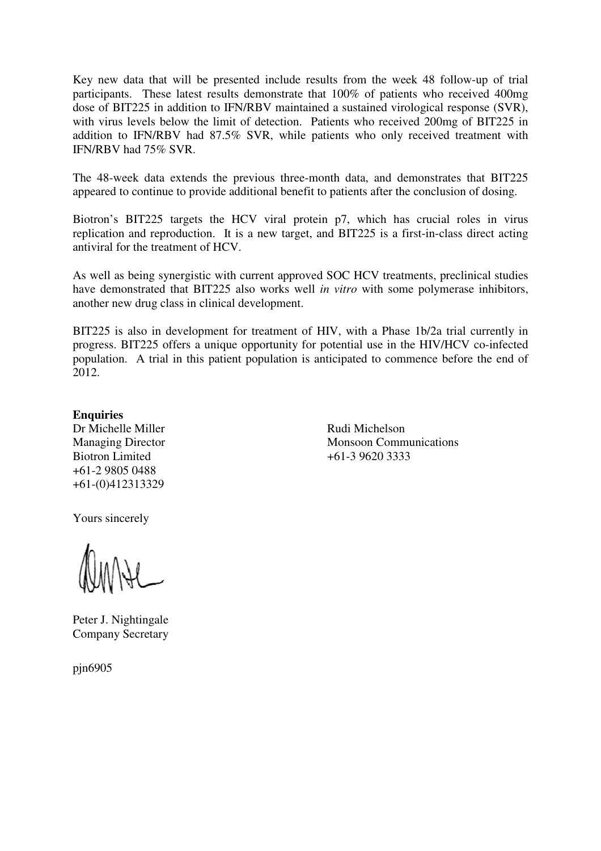Key new data that will be presented include results from the week 48 follow-up of trial participants. These latest results demonstrate that 100% of patients who received 400mg dose of BIT225 in addition to IFN/RBV maintained a sustained virological response (SVR), with virus levels below the limit of detection. Patients who received 200mg of BIT225 in addition to IFN/RBV had 87.5% SVR, while patients who only received treatment with IFN/RBV had 75% SVR.

The 48-week data extends the previous three-month data, and demonstrates that BIT225 appeared to continue to provide additional benefit to patients after the conclusion of dosing.

Biotron's BIT225 targets the HCV viral protein p7, which has crucial roles in virus replication and reproduction. It is a new target, and BIT225 is a first-in-class direct acting antiviral for the treatment of HCV.

As well as being synergistic with current approved SOC HCV treatments, preclinical studies have demonstrated that BIT225 also works well *in vitro* with some polymerase inhibitors, another new drug class in clinical development.

BIT225 is also in development for treatment of HIV, with a Phase 1b/2a trial currently in progress. BIT225 offers a unique opportunity for potential use in the HIV/HCV co-infected population. A trial in this patient population is anticipated to commence before the end of 2012.

## **Enquiries**

Dr Michelle Miller Rudi Michelson Biotron Limited +61-3 9620 3333 +61-2 9805 0488 +61-(0)412313329

Managing Director Monsoon Communications

Yours sincerely

Peter J. Nightingale Company Secretary

pjn6905